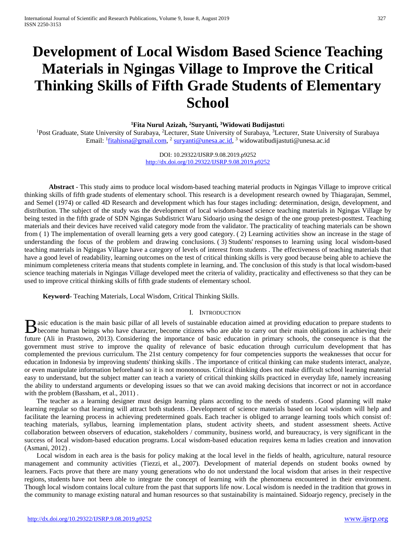# **Development of Local Wisdom Based Science Teaching Materials in Ngingas Village to Improve the Critical Thinking Skills of Fifth Grade Students of Elementary School**

**1 Fita Nurul Azizah, 2 Suryanti, 3 Widowati Budijastut**i

<sup>1</sup>Post Graduate, State University of Surabaya, <sup>2</sup>Lecturer, State University of Surabaya, <sup>3</sup>Lecturer, State University of Surabaya Email: <sup>1</sup>[fitahisna@gmail.com,](mailto:fitahisna@gmail.com) <sup>2</sup> [suryanti@unesa.ac.id,](mailto:suryanti@unesa.ac.id) <sup>3</sup> widowatibudijastuti@unesa.ac.id

> DOI: 10.29322/IJSRP.9.08.2019.p9252 <http://dx.doi.org/10.29322/IJSRP.9.08.2019.p9252>

**Abstract** - This study aims to produce local wisdom-based teaching material products in Ngingas Village to improve critical thinking skills of fifth grade students of elementary school. This research is a development research owned by Thiagarajan, Semmel, and Semel (1974) or called 4D Research and development which has four stages including: determination, design, development, and distribution. The subject of the study was the development of local wisdom-based science teaching materials in Ngingas Village by being tested in the fifth grade of SDN Ngingas Subdistrict Waru Sidoarjo using the design of the one group pretest-posttest. Teaching materials and their devices have received valid category mode from the validator. The practicality of teaching materials can be shown from ( 1) The implementation of overall learning gets a very good category. ( 2) Learning activities show an increase in the stage of understanding the focus of the problem and drawing conclusions. ( 3) Students' responses to learning using local wisdom-based teaching materials in Ngingas Village have a category of levels of interest from students . The effectiveness of teaching materials that have a good level of readability, learning outcomes on the test of critical thinking skills is very good because being able to achieve the minimum completeness criteria means that students complete in learning, and. The conclusion of this study is that local wisdom-based science teaching materials in Ngingas Village developed meet the criteria of validity, practicality and effectiveness so that they can be used to improve critical thinking skills of fifth grade students of elementary school.

**Keyword**- Teaching Materials, Local Wisdom, Critical Thinking Skills.

## I. INTRODUCTION

asic education is the main basic pillar of all levels of sustainable education aimed at providing education to prepare students to **B** asic education is the main basic pillar of all levels of sustainable education aimed at providing education to prepare students to become human beings who have character, become citizens who are able to carry out their future (Ali in Prastowo, 2013). Considering the importance of basic education in primary schools, the consequence is that the government must strive to improve the quality of relevance of basic education through curriculum development that has complemented the previous curriculum. The 21st century competency for four competencies supports the weaknesses that occur for education in Indonesia by improving students' thinking skills . The importance of critical thinking can make students interact, analyze, or even manipulate information beforehand so it is not monotonous. Critical thinking does not make difficult school learning material easy to understand, but the subject matter can teach a variety of critical thinking skills practiced in everyday life, namely increasing the ability to understand arguments or developing issues so that we can avoid making decisions that incorrect or not in accordance with the problem (Bassham, et al., 2011).

The teacher as a learning designer must design learning plans according to the needs of students . Good planning will make learning regular so that learning will attract both students . Development of science materials based on local wisdom will help and facilitate the learning process in achieving predetermined goals. Each teacher is obliged to arrange learning tools which consist of: teaching materials, syllabus, learning implementation plans, student activity sheets, and student assessment sheets. Active collaboration between observers of education, stakeholders / community, business world, and bureaucracy, is very significant in the success of local wisdom-based education programs. Local wisdom-based education requires kema m ladies creation and innovation (Asmani, 2012) .

Local wisdom in each area is the basis for policy making at the local level in the fields of health, agriculture, natural resource management and community activities (Tiezzi, et al., 2007). Development of material depends on student books owned by learners. Facts prove that there are many young generations who do not understand the local wisdom that arises in their respective regions, students have not been able to integrate the concept of learning with the phenomena encountered in their environment. Though local wisdom contains local culture from the past that supports life now. Local wisdom is needed in the tradition that grows in the community to manage existing natural and human resources so that sustainability is maintained. Sidoarjo regency, precisely in the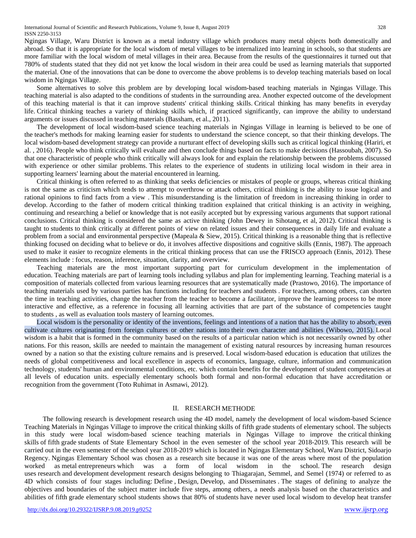International Journal of Scientific and Research Publications, Volume 9, Issue 8, August 2019 328 ISSN 2250-3153

Ngingas Village, Waru District is known as a metal industry village which produces many metal objects both domestically and abroad. So that it is appropriate for the local wisdom of metal villages to be internalized into learning in schools, so that students are more familiar with the local wisdom of metal villages in their area. Because from the results of the questionnaires it turned out that 780% of students stated that they did not yet know the local wisdom in their area could be used as learning materials that supported the material. One of the innovations that can be done to overcome the above problems is to develop teaching materials based on local wisdom in Ngingas Village.

Some alternatives to solve this problem are by developing local wisdom-based teaching materials in Ngingas Village. This teaching material is also adapted to the conditions of students in the surrounding area. Another expected outcome of the development of this teaching material is that it can improve students' critical thinking skills. Critical thinking has many benefits in everyday life. Critical thinking teaches a variety of thinking skills which, if practiced significantly, can improve the ability to understand arguments or issues discussed in teaching materials (Bassham, et al., 2011).

The development of local wisdom-based science teaching materials in Ngingas Village in learning is believed to be one of the teacher's methods for making learning easier for students to understand the science concept, so that their thinking develops. The local wisdom-based development strategy can provide a nurturant effect of developing skills such as critical logical thinking (Hariri, et al. , 2016). People who think critically will evaluate and then conclude things based on facts to make decisions (Hassoubah, 2007). So that one characteristic of people who think critically will always look for and explain the relationship between the problems discussed with experience or other similar problems. This relates to the experience of students in utilizing local wisdom in their area in supporting learners' learning about the material encountered in learning.

Critical thinking is often referred to as thinking that seeks deficiencies or mistakes of people or groups, whereas critical thinking is not the same as criticism which tends to attempt to overthrow or attack others, critical thinking is the ability to issue logical and rational opinions to find facts from a view . This misunderstanding is the limitation of freedom in increasing thinking in order to develop. According to the father of modern critical thinking tradition explained that critical thinking is an activity in weighing, continuing and researching a belief or knowledge that is not easily accepted but by expressing various arguments that support rational conclusions. Critical thinking is considered the same as active thinking (John Dewey in Sihotang, et al, 2012). Critical thinking is taught to students to think critically at different points of view on related issues and their consequences in daily life and evaluate a problem from a social and environmental perspective (Mapeala & Siew, 2015). Critical thinking is a reasonable thing that is reflective thinking focused on deciding what to believe or do, it involves affective dispositions and cognitive skills (Ennis, 1987). The approach used to make it easier to recognize elements in the critical thinking process that can use the FRISCO approach (Ennis, 2012). These elements include : focus, reason, inference, situation, clarity, and overview.

Teaching materials are the most important supporting part for curriculum development in the implementation of education. Teaching materials are part of learning tools including syllabus and plan for implementing learning. Teaching material is a composition of materials collected from various learning resources that are systematically made (Prastowo, 2016). The importance of teaching materials used by various parties has functions including for teachers and students . For teachers, among others, can shorten the time in teaching activities, change the teacher from the teacher to become a facilitator, improve the learning process to be more interactive and effective, as a reference in focusing all learning activities that are part of the substance of competencies taught to students , as well as evaluation tools mastery of learning outcomes.

Local wisdom is the personality or identity of the inventions, feelings and intentions of a nation that has the ability to absorb, even cultivate cultures originating from foreign cultures or other nations into their own character and abilities (Wibowo, 2015). Local wisdom is a habit that is formed in the community based on the results of a particular nation which is not necessarily owned by other nations. For this reason, skills are needed to maintain the management of existing natural resources by increasing human resources owned by a nation so that the existing culture remains and is preserved. Local wisdom-based education is education that utilizes the needs of global competitiveness and local excellence in aspects of economics, language, culture, information and communication technology, students' human and environmental conditions, etc. which contain benefits for the development of student competencies at all levels of education units. especially elementary schools both formal and non-formal education that have accreditation or recognition from the government (Toto Ruhimat in Asmawi, 2012).

#### II. RESEARCH METHODE

The following research is development research using the 4D model, namely the development of local wisdom-based Science Teaching Materials in Ngingas Village to improve the critical thinking skills of fifth grade students of elementary school. The subjects in this study were local wisdom-based science teaching materials in Ngingas Village to improve the critical thinking skills of fifth grade students of State Elementary School in the even semester of the school year 2018-2019. This research will be carried out in the even semester of the school year 2018-2019 which is located in Ngingas Elementary School, Waru District, Sidoarjo Regency. Ngingas Elementary School was chosen as a research site because it was one of the areas where most of the population worked as metal entrepreneurs which was a form of local wisdom in the school. The research design uses research and development development research designs belonging to Thiagarajan, Semmel, and Semel (1974) or referred to as 4D which consists of four stages including: Define , Design, Develop, and Disseminates . The stages of defining to analyze the objectives and boundaries of the subject matter include five steps, among others, a needs analysis based on the characteristics and abilities of fifth grade elementary school students shows that 80% of students have never used local wisdom to develop heat transfer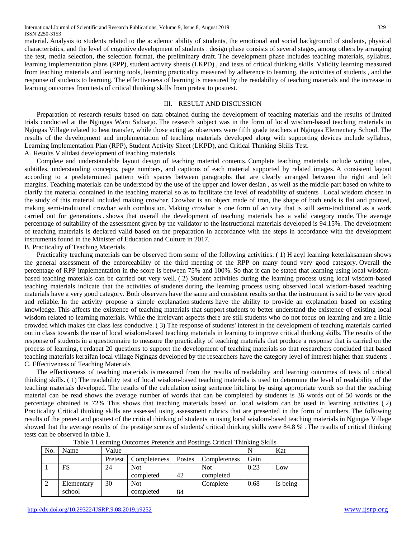material. Analysis to students related to the academic ability of students, the emotional and social background of students, physical characteristics, and the level of cognitive development of students . design phase consists of several stages, among others by arranging the test, media selection, the selection format, the preliminary draft. The development phase includes teaching materials, syllabus, learning implementation plans (RPP), student activity sheets (LKPD) , and tests of critical thinking skills. Validity learning measured from teaching materials and learning tools, learning practicality measured by adherence to learning, the activities of students , and the response of students to learning. The effectiveness of learning is measured by the readability of teaching materials and the increase in learning outcomes from tests of critical thinking skills from pretest to posttest.

# III. RESULT AND DISCUSSION

Preparation of research results based on data obtained during the development of teaching materials and the results of limited trials conducted at the Ngingas Waru Sidoarjo. The research subject was in the form of local wisdom-based teaching materials in Ngingas Village related to heat transfer, while those acting as observers were fifth grade teachers at Ngingas Elementary School. The results of the development and implementation of teaching materials developed along with supporting devices include syllabus, Learning Implementation Plan (RPP), Student Activity Sheet (LKPD), and Critical Thinking Skills Test. A. Results V alidasi development of teaching materials

Complete and understandable layout design of teaching material contents. Complete teaching materials include writing titles, subtitles, understanding concepts, page numbers, and captions of each material supported by related images. A consistent layout according to a predetermined pattern with spaces between paragraphs that are clearly arranged between the right and left margins. Teaching materials can be understood by the use of the upper and lower desian , as well as the middle part based on white to clarify the material contained in the teaching material so as to facilitate the level of readability of students . Local wisdom chosen in the study of this material included making crowbar. Crowbar is an object made of iron, the shape of both ends is flat and pointed, making semi-traditional crowbar with combustion. Making crowbar is one form of activity that is still semi-traditional as a work carried out for generations . shows that overall the development of teaching materials has a valid category mode. The average percentage of suitability of the assessment given by the validator to the instructional materials developed is 94.15%. The development of teaching materials is declared valid based on the preparation in accordance with the steps in accordance with the development instruments found in the Minister of Education and Culture in 2017.

B. Practicality of Teaching Materials

Practicality teaching materials can be observed from some of the following activities: ( 1) H acyl learning keterlaksanaan shows the general assessment of the enforceability of the third meeting of the RPP on many found very good category. Overall the percentage of RPP implementation in the score is between 75% and 100%. So that it can be stated that learning using local wisdombased teaching materials can be carried out very well. ( 2) Student activities during the learning process using local wisdom-based teaching materials indicate that the activities of students during the learning process using observed local wisdom-based teaching materials have a very good category. Both observers have the same and consistent results so that the instrument is said to be very good and reliable. In the activity propose a simple explanation students have the ability to provide an explanation based on existing knowledge. This affects the existence of teaching materials that support students to better understand the existence of existing local wisdom related to learning materials. While the irrelevant aspects there are still students who do not focus on learning and are a little crowded which makes the class less conducive. ( 3) The response of students' interest in the development of teaching materials carried out in class towards the use of local wisdom-based teaching materials in learning to improve critical thinking skills. The results of the response of students in a questionnaire to measure the practicality of teaching materials that produce a response that is carried on the process of learning, t erdapat 20 questions to support the development of teaching materials so that researchers concluded that based teaching materials keraifan local village Ngingas developed by the researchers have the category level of interest higher than students . C. Effectiveness of Teaching Materials

The effectiveness of teaching materials is measured from the results of readability and learning outcomes of tests of critical thinking skills. ( 1) The readability test of local wisdom-based teaching materials is used to determine the level of readability of the teaching materials developed. The results of the calculation using sentence hitching by using appropriate words so that the teaching material can be read shows the average number of words that can be completed by students is 36 words out of 50 words or the percentage obtained is 72%. This shows that teaching materials based on local wisdom can be used in learning activities. ( 2) Practicality Critical thinking skills are assessed using assessment rubrics that are presented in the form of numbers. The following results of the pretest and posttest of the critical thinking of students in using local wisdom-based teaching materials in Ngingas Village showed that the average results of the prestige scores of students' critical thinking skills were 84.8 % . The results of critical thinking tests can be observed in table 1.

| Table 1 Learning Outcomes Pretentis and Postings Critical Thinking Skins |            |         |              |        |              |      |          |  |  |  |
|--------------------------------------------------------------------------|------------|---------|--------------|--------|--------------|------|----------|--|--|--|
| No.                                                                      | Name       | Value   |              |        | Kat          |      |          |  |  |  |
|                                                                          |            | Pretest | Completeness | Postes | Completeness | Gain |          |  |  |  |
|                                                                          | FS         | 24      | <b>Not</b>   |        | <b>Not</b>   | 0.23 | Low      |  |  |  |
|                                                                          |            |         | completed    | 42     | completed    |      |          |  |  |  |
| 2                                                                        | Elementary | 30      | <b>Not</b>   |        | Complete     | 0.68 | Is being |  |  |  |
|                                                                          | school     |         | completed    | 84     |              |      |          |  |  |  |

| Table 1 Learning Outcomes Pretends and Postings Critical Thinking Skills |
|--------------------------------------------------------------------------|
|--------------------------------------------------------------------------|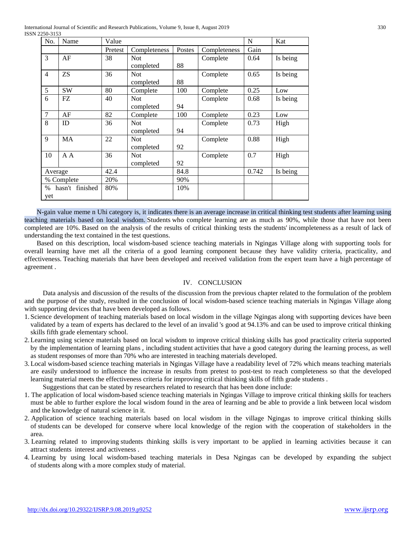International Journal of Scientific and Research Publications, Volume 9, Issue 8, August 2019 330 ISSN 2250-3153

| No.                  | Name      | Value   |              |        |              | $\mathbf N$ | Kat      |
|----------------------|-----------|---------|--------------|--------|--------------|-------------|----------|
|                      |           | Pretest | Completeness | Postes | Completeness | Gain        |          |
| 3                    | AF        | 38      | <b>Not</b>   |        | Complete     | 0.64        | Is being |
|                      |           |         | completed    | 88     |              |             |          |
| $\overline{4}$       | <b>ZS</b> | 36      | <b>Not</b>   |        | Complete     | 0.65        | Is being |
|                      |           |         | completed    | 88     |              |             |          |
| 5                    | <b>SW</b> | 80      | Complete     | 100    | Complete     | 0.25        | Low      |
| 6                    | FZ        | 40      | <b>Not</b>   |        | Complete     | 0.68        | Is being |
|                      |           |         | completed    | 94     |              |             |          |
| $\overline{7}$       | AF        | 82      | Complete     | 100    | Complete     | 0.23        | Low      |
| 8                    | ID        | 36      | <b>Not</b>   |        | Complete     | 0.73        | High     |
|                      |           |         | completed    | 94     |              |             |          |
| $\mathbf{Q}$         | MA        | 22      | <b>Not</b>   |        | Complete     | 0.88        | High     |
|                      |           |         | completed    | 92     |              |             |          |
| 10                   | A A       | 36      | <b>Not</b>   |        | Complete     | 0.7         | High     |
|                      |           |         | completed    | 92     |              |             |          |
| Average              |           | 42.4    |              | 84.8   |              | 0.742       | Is being |
| % Complete           |           | 20%     |              | 90%    |              |             |          |
| hasn't finished<br>% |           | 80%     |              | 10%    |              |             |          |
| yet                  |           |         |              |        |              |             |          |

N-gain value meme n Uhi category is, it indicates there is an average increase in critical thinking test students after learning using teaching materials based on local wisdom. Students who complete learning are as much as 90%, while those that have not been completed are 10%. Based on the analysis of the results of critical thinking tests the students' incompleteness as a result of lack of understanding the text contained in the test questions.

Based on this description, local wisdom-based science teaching materials in Ngingas Village along with supporting tools for overall learning have met all the criteria of a good learning component because they have validity criteria, practicality, and effectiveness. Teaching materials that have been developed and received validation from the expert team have a high percentage of agreement .

#### IV. CONCLUSION

Data analysis and discussion of the results of the discussion from the previous chapter related to the formulation of the problem and the purpose of the study, resulted in the conclusion of local wisdom-based science teaching materials in Ngingas Village along with supporting devices that have been developed as follows.

- 1. Science development of teaching materials based on local wisdom in the village Ngingas along with supporting devices have been validated by a team of experts has declared to the level of an invalid 's good at 94.13% and can be used to improve critical thinking skills fifth grade elementary school.
- 2.Learning using science materials based on local wisdom to improve critical thinking skills has good practicality criteria supported by the implementation of learning plans , including student activities that have a good category during the learning process, as well as student responses of more than 70% who are interested in teaching materials developed.
- 3.Local wisdom-based science teaching materials in Ngingas Village have a readability level of 72% which means teaching materials are easily understood to influence the increase in results from pretest to post-test to reach completeness so that the developed learning material meets the effectiveness criteria for improving critical thinking skills of fifth grade students . Suggestions that can be stated by researchers related to research that has been done include:
- 1. The application of local wisdom-based science teaching materials in Ngingas Village to improve critical thinking skills for teachers must be able to further explore the local wisdom found in the area of learning and be able to provide a link between local wisdom and the knowledge of natural science in it.
- 2. Application of science teaching materials based on local wisdom in the village Ngingas to improve critical thinking skills of students can be developed for conserve where local knowledge of the region with the cooperation of stakeholders in the area.
- 3. Learning related to improving students thinking skills is very important to be applied in learning activities because it can attract students interest and activeness .
- 4. Learning by using local wisdom-based teaching materials in Desa Ngingas can be developed by expanding the subject of students along with a more complex study of material.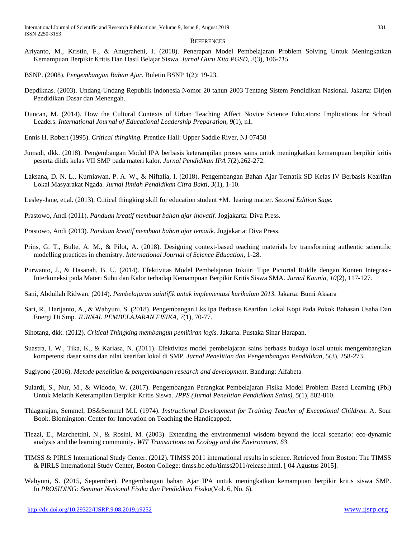#### **REFERENCES**

- Ariyanto, M., Kristin, F., & Anugraheni, I. (2018). Penerapan Model Pembelajaran Problem Solving Untuk Meningkatkan Kemampuan Berpikir Kritis Dan Hasil Belajar Siswa. *Jurnal Guru Kita PGSD*, *2*(3), 106-*115.*
- BSNP. (2008). *Pengembangan Bahan Ajar*. Buletin BSNP 1(2): 19-23.
- Depdiknas. (2003). Undang-Undang Republik Indonesia Nomor 20 tahun 2003 Tentang Sistem Pendidikan Nasional. Jakarta: Dirjen Pendidikan Dasar dan Menengah.
- Duncan, M. (2014). How the Cultural Contexts of Urban Teaching Affect Novice Science Educators: Implications for School Leaders. *International Journal of Educational Leadership Preparation*, *9*(1), n1.
- Ennis H. Robert (1995). *Critical thingking.* Prentice Hall: Upper Saddle River, NJ 07458
- Jumadi, dkk. (2018). Pengembangan Modul IPA berbasis keterampilan proses sains untuk meningkatkan kemampuan berpikir kritis peserta diidk kelas VII SMP pada materi kalor. *Jurnal Pendidikan IPA* 7(2).262-272.
- Laksana, D. N. L., Kurniawan, P. A. W., & Niftalia, I. (2018). Pengembangan Bahan Ajar Tematik SD Kelas IV Berbasis Kearifan Lokal Masyarakat Ngada. *Jurnal Ilmiah Pendidikan Citra Bakti*, *3*(1), 1-10.
- Lesley-Jane, et,al. (2013). Ctitical thingking skill for education student +M. learing matter. *Second Edition Sage.*
- Prastowo, Andi (2011). *Panduan kreatif membuat bahan ajar inovatif.* Jogjakarta: Diva Press.
- Prastowo, Andi (2013). *Panduan kreatif membuat bahan ajar tematik*. Jogjakarta: Diva Press.
- Prins, G. T., Bulte, A. M., & Pilot, A. (2018). Designing context-based teaching materials by transforming authentic scientific modelling practices in chemistry. *International Journal of Science Education*, 1-28.
- Purwanto, J., & Hasanah, B. U. (2014). Efektivitas Model Pembelajaran Inkuiri Tipe Pictorial Riddle dengan Konten Integrasi-Interkoneksi pada Materi Suhu dan Kalor terhadap Kemampuan Berpikir Kritis Siswa SMA. *Jurnal Kaunia*, *10*(2), 117-127.
- Sani, Abdullah Ridwan. (2014). *Pembelajaran saintifik untuk implementasi kurikulum 2013.* Jakarta: Bumi Aksara
- Sari, R., Harijanto, A., & Wahyuni, S. (2018). Pengembangan Lks Ipa Berbasis Kearifan Lokal Kopi Pada Pokok Bahasan Usaha Dan Energi Di Smp. *JURNAL PEMBELAJARAN FISIKA*, *7*(1), 70-77.
- Sihotang, dkk. (2012). *Critical Thingking membangun pemikiran logis.* Jakarta: Pustaka Sinar Harapan.
- Suastra, I. W., Tika, K., & Kariasa, N. (2011). Efektivitas model pembelajaran sains berbasis budaya lokal untuk mengembangkan kompetensi dasar sains dan nilai kearifan lokal di SMP. *Jurnal Penelitian dan Pengembangan Pendidikan*, *5*(3), 258-273.
- Sugiyono (2016). *Metode penelitian & pengembangan research and development*. Bandung: Alfabeta
- Sulardi, S., Nur, M., & Widodo, W. (2017). Pengembangan Perangkat Pembelajaran Fisika Model Problem Based Learning (Pbl) Untuk Melatih Keterampilan Berpikir Kritis Siswa. *JPPS (Jurnal Penelitian Pendidikan Sains)*, *5*(1), 802-810.
- Thiagarajan, Semmel, DS&Semmel M.I. (1974). *Instructional Development for Training Teacher of Exceptional Children.* A. Sour Book. Blomington: Center for Innovation on Teaching the Handicapped.
- Tiezzi, E., Marchettini, N., & Rosini, M. (2003). Extending the environmental wisdom beyond the local scenario: eco-dynamic analysis and the learning community. *WIT Transactions on Ecology and the Environment*, *63*.
- TIMSS & PIRLS International Study Center. (2012). TIMSS 2011 international results in science. Retrieved from Boston: The TIMSS & PIRLS International Study Center, Boston College: timss.bc.edu/timss2011/release.html. [ 04 Agustus 2015].
- Wahyuni, S. (2015, September). Pengembangan bahan Ajar IPA untuk meningkatkan kemampuan berpikir kritis siswa SMP. In *PROSIDING: Seminar Nasional Fisika dan Pendidikan Fisika*(Vol. 6, No. 6).